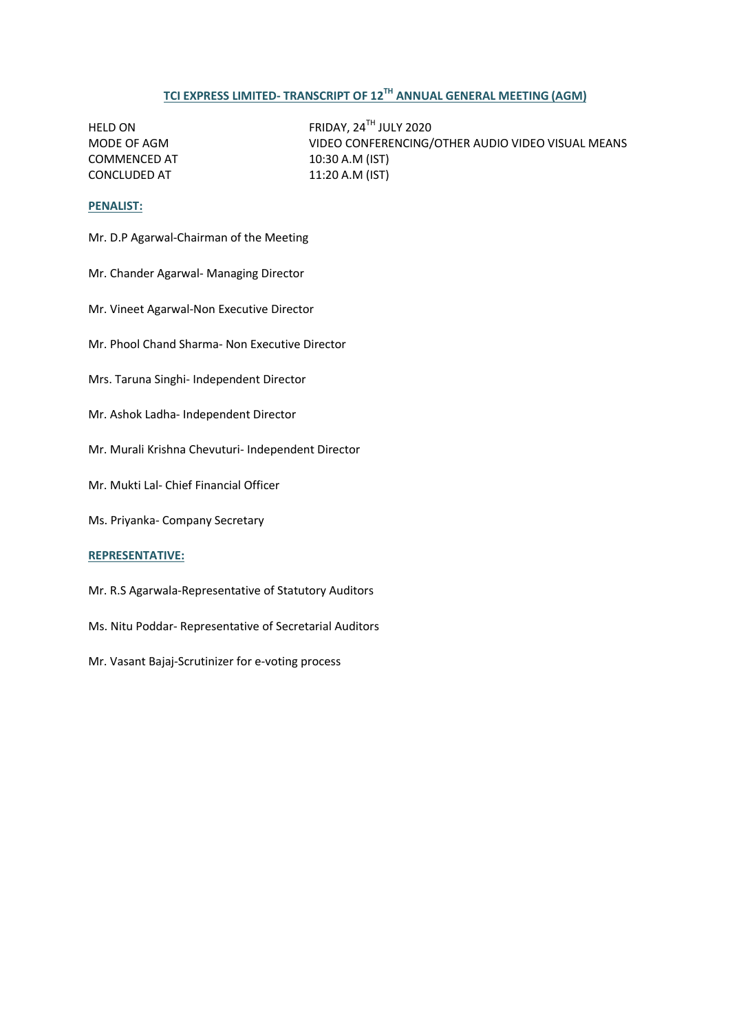# **TCI EXPRESS LIMITED- TRANSCRIPT OF 12TH ANNUAL GENERAL MEETING (AGM)**

COMMENCED AT 10:30 A.M (IST) CONCLUDED AT 11:20 A.M (IST)

HELD ON FRIDAY, 24<sup>TH</sup> JULY 2020<br>MODE OF AGM VIDEO CONFERENCING/ VIDEO CONFERENCING/OTHER AUDIO VIDEO VISUAL MEANS

### **PENALIST:**

- Mr. D.P Agarwal-Chairman of the Meeting
- Mr. Chander Agarwal- Managing Director
- Mr. Vineet Agarwal-Non Executive Director
- Mr. Phool Chand Sharma- Non Executive Director
- Mrs. Taruna Singhi- Independent Director
- Mr. Ashok Ladha- Independent Director
- Mr. Murali Krishna Chevuturi- Independent Director
- Mr. Mukti Lal- Chief Financial Officer
- Ms. Priyanka- Company Secretary

# **REPRESENTATIVE:**

- Mr. R.S Agarwala-Representative of Statutory Auditors
- Ms. Nitu Poddar- Representative of Secretarial Auditors
- Mr. Vasant Bajaj-Scrutinizer for e-voting process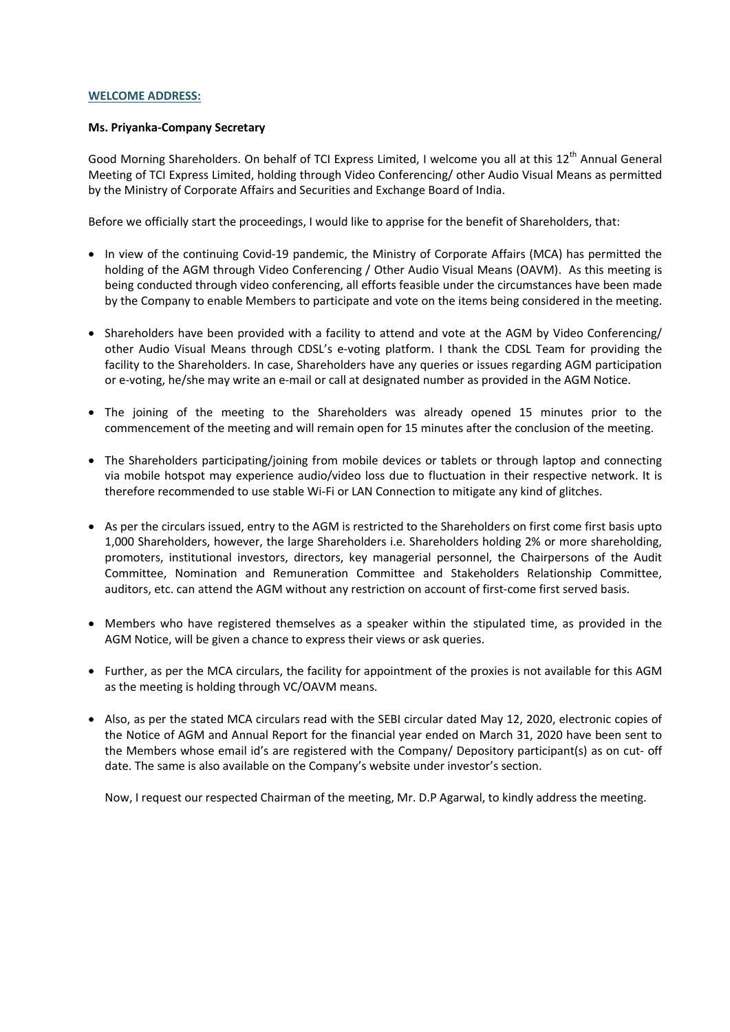### **WELCOME ADDRESS:**

### **Ms. Priyanka-Company Secretary**

Good Morning Shareholders. On behalf of TCI Express Limited, I welcome you all at this 12<sup>th</sup> Annual General Meeting of TCI Express Limited, holding through Video Conferencing/ other Audio Visual Means as permitted by the Ministry of Corporate Affairs and Securities and Exchange Board of India.

Before we officially start the proceedings, I would like to apprise for the benefit of Shareholders, that:

- In view of the continuing Covid-19 pandemic, the Ministry of Corporate Affairs (MCA) has permitted the holding of the AGM through Video Conferencing / Other Audio Visual Means (OAVM). As this meeting is being conducted through video conferencing, all efforts feasible under the circumstances have been made by the Company to enable Members to participate and vote on the items being considered in the meeting.
- Shareholders have been provided with a facility to attend and vote at the AGM by Video Conferencing/ other Audio Visual Means through CDSL's e-voting platform. I thank the CDSL Team for providing the facility to the Shareholders. In case, Shareholders have any queries or issues regarding AGM participation or e-voting, he/she may write an e-mail or call at designated number as provided in the AGM Notice.
- The joining of the meeting to the Shareholders was already opened 15 minutes prior to the commencement of the meeting and will remain open for 15 minutes after the conclusion of the meeting.
- The Shareholders participating/joining from mobile devices or tablets or through laptop and connecting via mobile hotspot may experience audio/video loss due to fluctuation in their respective network. It is therefore recommended to use stable Wi-Fi or LAN Connection to mitigate any kind of glitches.
- As per the circulars issued, entry to the AGM is restricted to the Shareholders on first come first basis upto 1,000 Shareholders, however, the large Shareholders i.e. Shareholders holding 2% or more shareholding, promoters, institutional investors, directors, key managerial personnel, the Chairpersons of the Audit Committee, Nomination and Remuneration Committee and Stakeholders Relationship Committee, auditors, etc. can attend the AGM without any restriction on account of first-come first served basis.
- Members who have registered themselves as a speaker within the stipulated time, as provided in the AGM Notice, will be given a chance to express their views or ask queries.
- Further, as per the MCA circulars, the facility for appointment of the proxies is not available for this AGM as the meeting is holding through VC/OAVM means.
- Also, as per the stated MCA circulars read with the SEBI circular dated May 12, 2020, electronic copies of the Notice of AGM and Annual Report for the financial year ended on March 31, 2020 have been sent to the Members whose email id's are registered with the Company/ Depository participant(s) as on cut- off date. The same is also available on the Company's website under investor's section.

Now, I request our respected Chairman of the meeting, Mr. D.P Agarwal, to kindly address the meeting.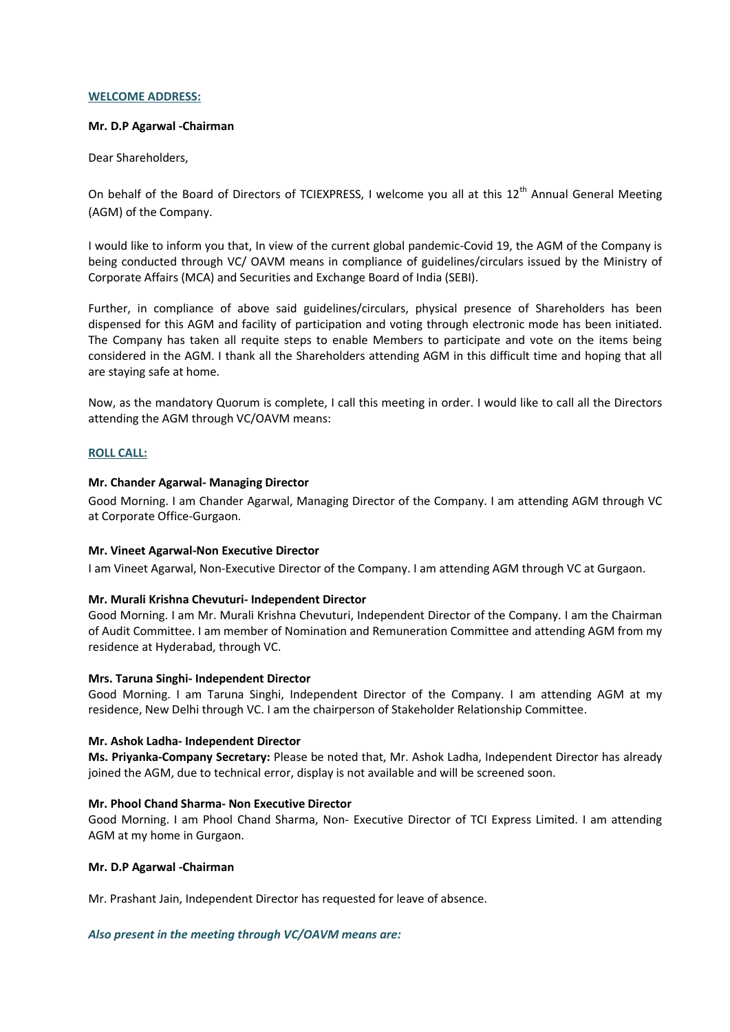### **WELCOME ADDRESS:**

### **Mr. D.P Agarwal -Chairman**

Dear Shareholders,

On behalf of the Board of Directors of TCIEXPRESS, I welcome you all at this 12<sup>th</sup> Annual General Meeting (AGM) of the Company.

I would like to inform you that, In view of the current global pandemic-Covid 19, the AGM of the Company is being conducted through VC/ OAVM means in compliance of guidelines/circulars issued by the Ministry of Corporate Affairs (MCA) and Securities and Exchange Board of India (SEBI).

Further, in compliance of above said guidelines/circulars, physical presence of Shareholders has been dispensed for this AGM and facility of participation and voting through electronic mode has been initiated. The Company has taken all requite steps to enable Members to participate and vote on the items being considered in the AGM. I thank all the Shareholders attending AGM in this difficult time and hoping that all are staying safe at home.

Now, as the mandatory Quorum is complete, I call this meeting in order. I would like to call all the Directors attending the AGM through VC/OAVM means:

# **ROLL CALL:**

# **Mr. Chander Agarwal- Managing Director**

Good Morning. I am Chander Agarwal, Managing Director of the Company. I am attending AGM through VC at Corporate Office-Gurgaon.

### **Mr. Vineet Agarwal-Non Executive Director**

I am Vineet Agarwal, Non-Executive Director of the Company. I am attending AGM through VC at Gurgaon.

### **Mr. Murali Krishna Chevuturi- Independent Director**

Good Morning. I am Mr. Murali Krishna Chevuturi, Independent Director of the Company. I am the Chairman of Audit Committee. I am member of Nomination and Remuneration Committee and attending AGM from my residence at Hyderabad, through VC.

### **Mrs. Taruna Singhi- Independent Director**

Good Morning. I am Taruna Singhi, Independent Director of the Company. I am attending AGM at my residence, New Delhi through VC. I am the chairperson of Stakeholder Relationship Committee.

### **Mr. Ashok Ladha- Independent Director**

**Ms. Priyanka-Company Secretary:** Please be noted that, Mr. Ashok Ladha, Independent Director has already joined the AGM, due to technical error, display is not available and will be screened soon.

### **Mr. Phool Chand Sharma- Non Executive Director**

Good Morning. I am Phool Chand Sharma, Non- Executive Director of TCI Express Limited. I am attending AGM at my home in Gurgaon.

### **Mr. D.P Agarwal -Chairman**

Mr. Prashant Jain, Independent Director has requested for leave of absence.

### *Also present in the meeting through VC/OAVM means are:*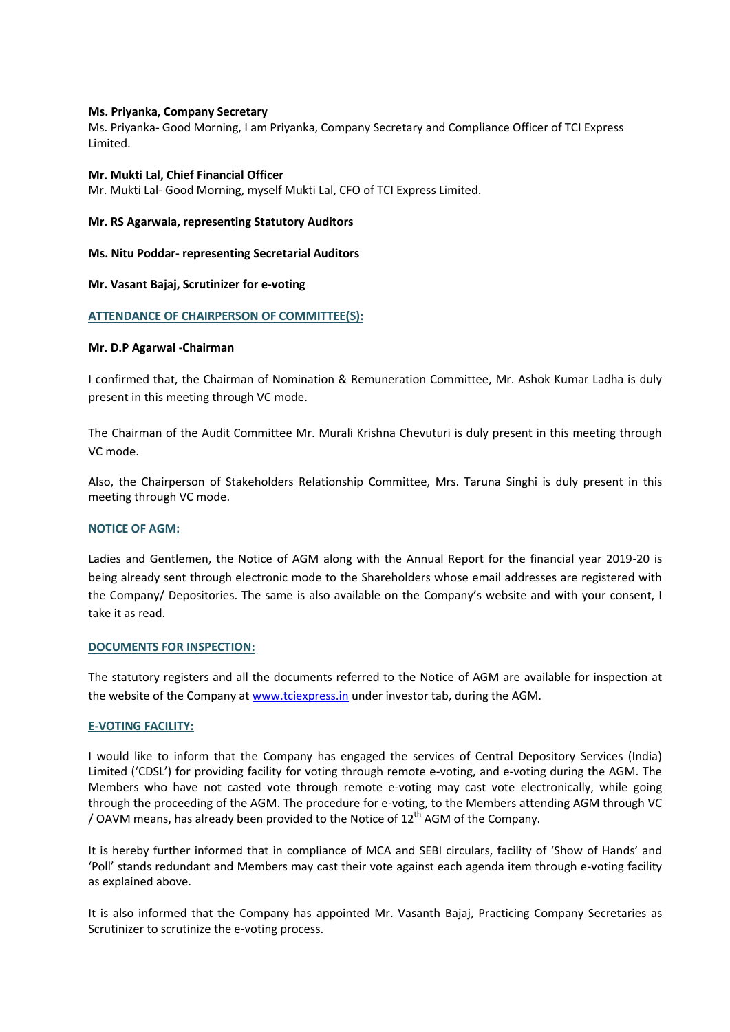### **Ms. Priyanka, Company Secretary**

Ms. Priyanka- Good Morning, I am Priyanka, Company Secretary and Compliance Officer of TCI Express Limited.

#### **Mr. Mukti Lal, Chief Financial Officer**

Mr. Mukti Lal- Good Morning, myself Mukti Lal, CFO of TCI Express Limited.

#### **Mr. RS Agarwala, representing Statutory Auditors**

### **Ms. Nitu Poddar- representing Secretarial Auditors**

### **Mr. Vasant Bajaj, Scrutinizer for e-voting**

### **ATTENDANCE OF CHAIRPERSON OF COMMITTEE(S):**

#### **Mr. D.P Agarwal -Chairman**

I confirmed that, the Chairman of Nomination & Remuneration Committee, Mr. Ashok Kumar Ladha is duly present in this meeting through VC mode.

The Chairman of the Audit Committee Mr. Murali Krishna Chevuturi is duly present in this meeting through VC mode.

Also, the Chairperson of Stakeholders Relationship Committee, Mrs. Taruna Singhi is duly present in this meeting through VC mode.

### **NOTICE OF AGM:**

Ladies and Gentlemen, the Notice of AGM along with the Annual Report for the financial year 2019-20 is being already sent through electronic mode to the Shareholders whose email addresses are registered with the Company/ Depositories. The same is also available on the Company's website and with your consent, I take it as read.

#### **DOCUMENTS FOR INSPECTION:**

The statutory registers and all the documents referred to the Notice of AGM are available for inspection at the website of the Company at [www.tciexpress.in](http://www.tciexpress.in/) under investor tab, during the AGM.

### **E-VOTING FACILITY:**

I would like to inform that the Company has engaged the services of Central Depository Services (India) Limited ('CDSL') for providing facility for voting through remote e-voting, and e-voting during the AGM. The Members who have not casted vote through remote e-voting may cast vote electronically, while going through the proceeding of the AGM. The procedure for e-voting, to the Members attending AGM through VC / OAVM means, has already been provided to the Notice of  $12<sup>th</sup>$  AGM of the Company.

It is hereby further informed that in compliance of MCA and SEBI circulars, facility of 'Show of Hands' and 'Poll' stands redundant and Members may cast their vote against each agenda item through e-voting facility as explained above.

It is also informed that the Company has appointed Mr. Vasanth Bajaj, Practicing Company Secretaries as Scrutinizer to scrutinize the e-voting process.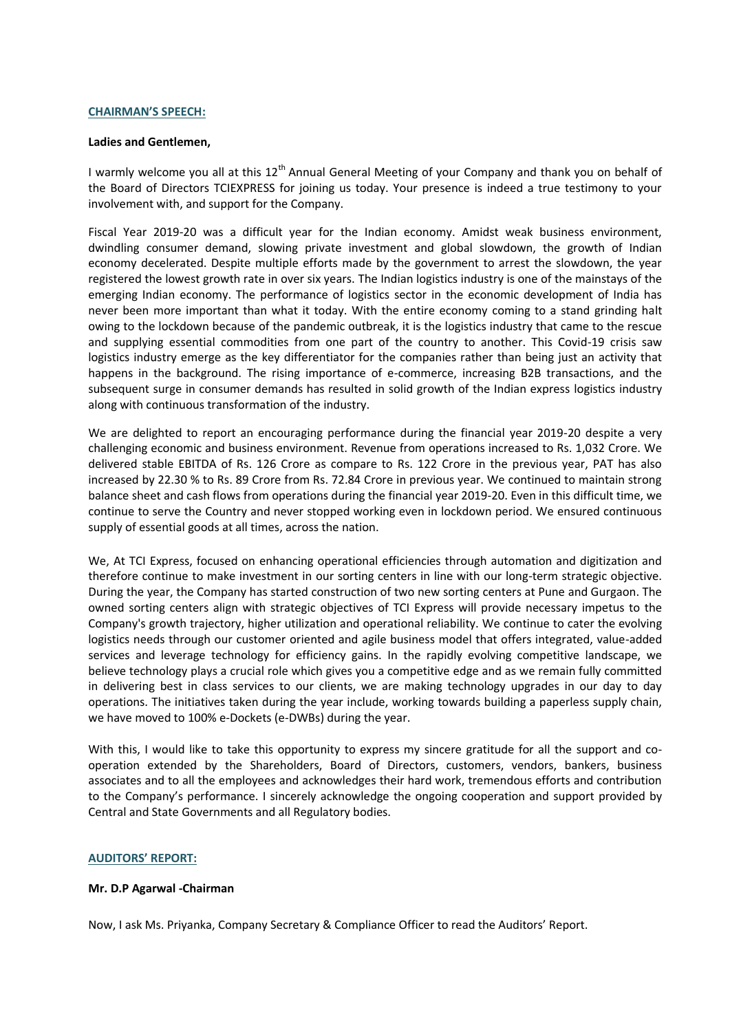### **CHAIRMAN'S SPEECH:**

#### **Ladies and Gentlemen,**

I warmly welcome you all at this  $12<sup>th</sup>$  Annual General Meeting of your Company and thank you on behalf of the Board of Directors TCIEXPRESS for joining us today. Your presence is indeed a true testimony to your involvement with, and support for the Company.

Fiscal Year 2019-20 was a difficult year for the Indian economy. Amidst weak business environment, dwindling consumer demand, slowing private investment and global slowdown, the growth of Indian economy decelerated. Despite multiple efforts made by the government to arrest the slowdown, the year registered the lowest growth rate in over six years. The Indian logistics industry is one of the mainstays of the emerging Indian economy. The performance of logistics sector in the economic development of India has never been more important than what it today. With the entire economy coming to a stand grinding halt owing to the lockdown because of the pandemic outbreak, it is the logistics industry that came to the rescue and supplying essential commodities from one part of the country to another. This Covid-19 crisis saw logistics industry emerge as the key differentiator for the companies rather than being just an activity that happens in the background. The rising importance of e-commerce, increasing B2B transactions, and the subsequent surge in consumer demands has resulted in solid growth of the Indian express logistics industry along with continuous transformation of the industry.

We are delighted to report an encouraging performance during the financial year 2019-20 despite a very challenging economic and business environment. Revenue from operations increased to Rs. 1,032 Crore. We delivered stable EBITDA of Rs. 126 Crore as compare to Rs. 122 Crore in the previous year, PAT has also increased by 22.30 % to Rs. 89 Crore from Rs. 72.84 Crore in previous year. We continued to maintain strong balance sheet and cash flows from operations during the financial year 2019-20. Even in this difficult time, we continue to serve the Country and never stopped working even in lockdown period. We ensured continuous supply of essential goods at all times, across the nation.

We, At TCI Express, focused on enhancing operational efficiencies through automation and digitization and therefore continue to make investment in our sorting centers in line with our long-term strategic objective. During the year, the Company has started construction of two new sorting centers at Pune and Gurgaon. The owned sorting centers align with strategic objectives of TCI Express will provide necessary impetus to the Company's growth trajectory, higher utilization and operational reliability. We continue to cater the evolving logistics needs through our customer oriented and agile business model that offers integrated, value-added services and leverage technology for efficiency gains. In the rapidly evolving competitive landscape, we believe technology plays a crucial role which gives you a competitive edge and as we remain fully committed in delivering best in class services to our clients, we are making technology upgrades in our day to day operations. The initiatives taken during the year include, working towards building a paperless supply chain, we have moved to 100% e-Dockets (e-DWBs) during the year.

With this, I would like to take this opportunity to express my sincere gratitude for all the support and cooperation extended by the Shareholders, Board of Directors, customers, vendors, bankers, business associates and to all the employees and acknowledges their hard work, tremendous efforts and contribution to the Company's performance. I sincerely acknowledge the ongoing cooperation and support provided by Central and State Governments and all Regulatory bodies.

### **AUDITORS' REPORT:**

### **Mr. D.P Agarwal -Chairman**

Now, I ask Ms. Priyanka, Company Secretary & Compliance Officer to read the Auditors' Report.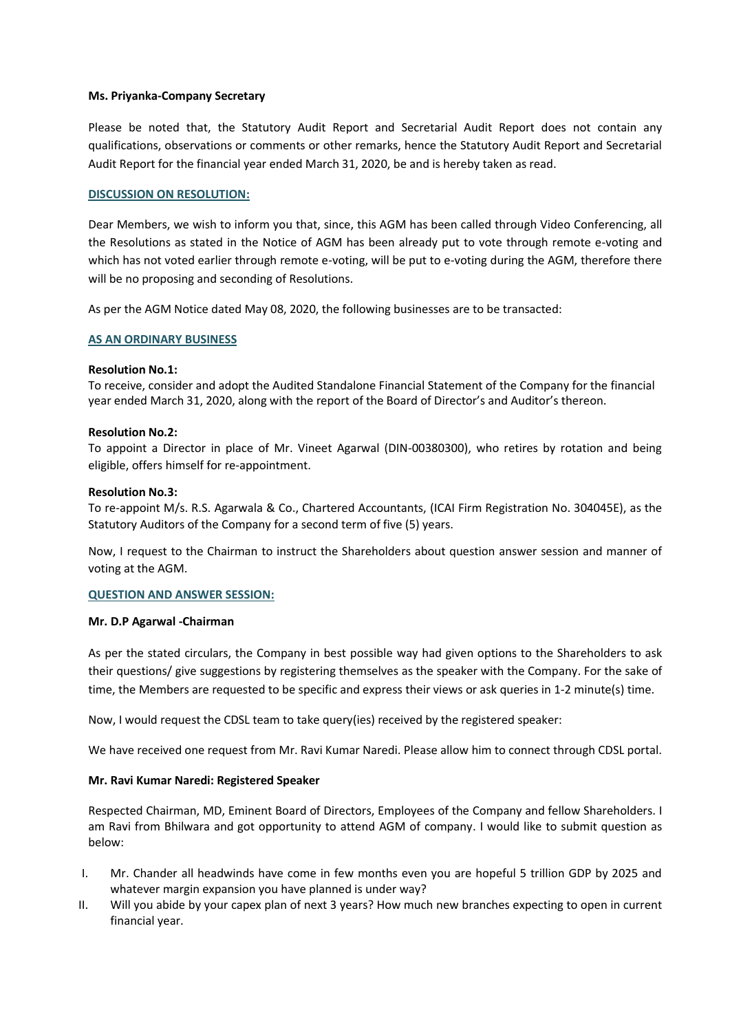### **Ms. Priyanka-Company Secretary**

Please be noted that, the Statutory Audit Report and Secretarial Audit Report does not contain any qualifications, observations or comments or other remarks, hence the Statutory Audit Report and Secretarial Audit Report for the financial year ended March 31, 2020, be and is hereby taken as read.

# **DISCUSSION ON RESOLUTION:**

Dear Members, we wish to inform you that, since, this AGM has been called through Video Conferencing, all the Resolutions as stated in the Notice of AGM has been already put to vote through remote e-voting and which has not voted earlier through remote e-voting, will be put to e-voting during the AGM, therefore there will be no proposing and seconding of Resolutions.

As per the AGM Notice dated May 08, 2020, the following businesses are to be transacted:

# **AS AN ORDINARY BUSINESS**

# **Resolution No.1:**

To receive, consider and adopt the Audited Standalone Financial Statement of the Company for the financial year ended March 31, 2020, along with the report of the Board of Director's and Auditor's thereon.

### **Resolution No.2:**

To appoint a Director in place of Mr. Vineet Agarwal (DIN-00380300), who retires by rotation and being eligible, offers himself for re-appointment.

### **Resolution No.3:**

To re-appoint M/s. R.S. Agarwala & Co., Chartered Accountants, (ICAI Firm Registration No. 304045E), as the Statutory Auditors of the Company for a second term of five (5) years.

Now, I request to the Chairman to instruct the Shareholders about question answer session and manner of voting at the AGM.

### **QUESTION AND ANSWER SESSION:**

### **Mr. D.P Agarwal -Chairman**

As per the stated circulars, the Company in best possible way had given options to the Shareholders to ask their questions/ give suggestions by registering themselves as the speaker with the Company. For the sake of time, the Members are requested to be specific and express their views or ask queries in 1-2 minute(s) time.

Now, I would request the CDSL team to take query(ies) received by the registered speaker:

We have received one request from Mr. Ravi Kumar Naredi. Please allow him to connect through CDSL portal.

### **Mr. Ravi Kumar Naredi: Registered Speaker**

Respected Chairman, MD, Eminent Board of Directors, Employees of the Company and fellow Shareholders. I am Ravi from Bhilwara and got opportunity to attend AGM of company. I would like to submit question as below:

- I. Mr. Chander all headwinds have come in few months even you are hopeful 5 trillion GDP by 2025 and whatever margin expansion you have planned is under way?
- II. Will you abide by your capex plan of next 3 years? How much new branches expecting to open in current financial year.